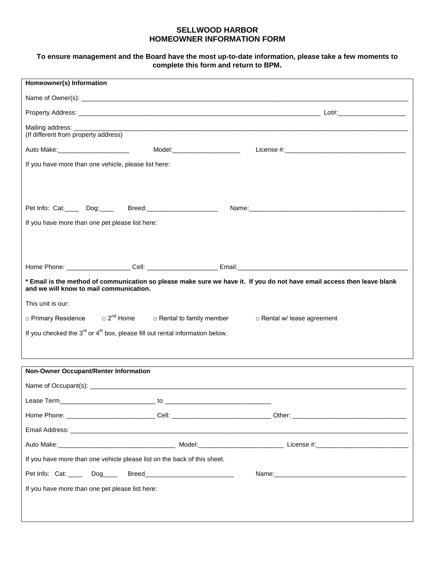## **SELLWOOD HARBOR HOMEOWNER INFORMATION FORM**

## **To ensure management and the Board have the most up-to-date information, please take a few moments to complete this form and return to BPM.**

| Homeowner(s) Information                                                                                                                                                                                                       |                                  |  |
|--------------------------------------------------------------------------------------------------------------------------------------------------------------------------------------------------------------------------------|----------------------------------|--|
|                                                                                                                                                                                                                                |                                  |  |
|                                                                                                                                                                                                                                |                                  |  |
| (If different from property address)                                                                                                                                                                                           |                                  |  |
| Auto Make: National Auto Make:<br>Model:_________________________                                                                                                                                                              |                                  |  |
| If you have more than one vehicle, please list here:                                                                                                                                                                           |                                  |  |
|                                                                                                                                                                                                                                |                                  |  |
|                                                                                                                                                                                                                                |                                  |  |
| Pet Info: Cat:_____ Dog:_____ Breed:____________________                                                                                                                                                                       |                                  |  |
| If you have more than one pet please list here:                                                                                                                                                                                |                                  |  |
|                                                                                                                                                                                                                                |                                  |  |
|                                                                                                                                                                                                                                |                                  |  |
|                                                                                                                                                                                                                                |                                  |  |
| * Email is the method of communication so please make sure we have it. If you do not have email access then leave blank<br>and we will know to mail communication.                                                             |                                  |  |
| This unit is our:                                                                                                                                                                                                              |                                  |  |
| $\Box$ Primary Residence $\Box$ 2 <sup>nd</sup> Home $\Box$ Rental to family member                                                                                                                                            | $\Box$ Rental w/ lease agreement |  |
| If you checked the $3^{rd}$ or $4^{th}$ box, please fill out rental information below.                                                                                                                                         |                                  |  |
|                                                                                                                                                                                                                                |                                  |  |
|                                                                                                                                                                                                                                |                                  |  |
| Non-Owner Occupant/Renter Information                                                                                                                                                                                          |                                  |  |
|                                                                                                                                                                                                                                |                                  |  |
|                                                                                                                                                                                                                                |                                  |  |
|                                                                                                                                                                                                                                |                                  |  |
| Email Address: example, the contract of the contract of the contract of the contract of the contract of the contract of the contract of the contract of the contract of the contract of the contract of the contract of the co |                                  |  |
|                                                                                                                                                                                                                                |                                  |  |
| If you have more than one vehicle please list on the back of this sheet.                                                                                                                                                       |                                  |  |
| Pet Info: Cat: _____ Dog____ Breed_________________________                                                                                                                                                                    |                                  |  |
| If you have more than one pet please list here:                                                                                                                                                                                |                                  |  |
|                                                                                                                                                                                                                                |                                  |  |
|                                                                                                                                                                                                                                |                                  |  |